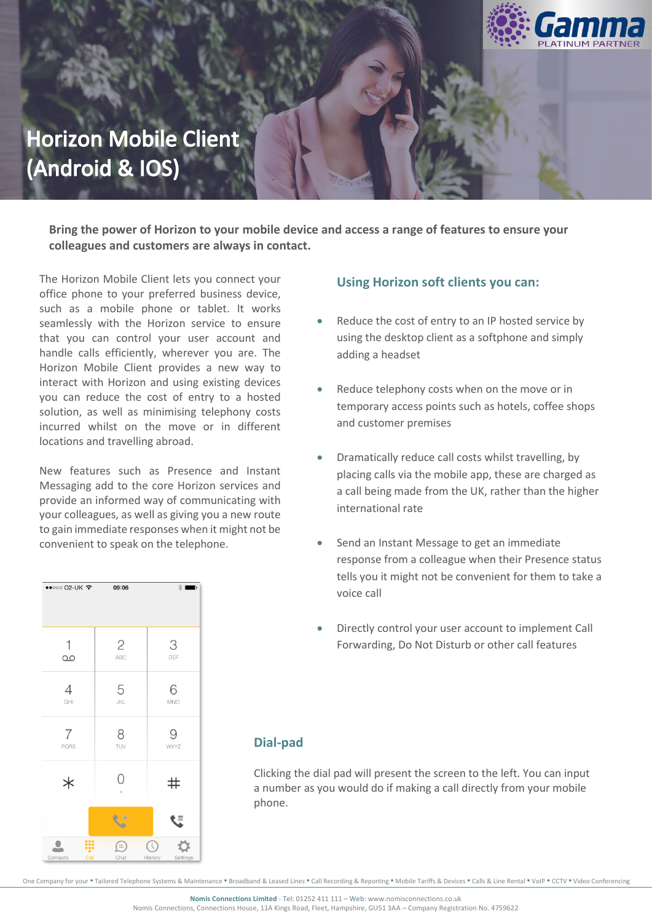

# **Horizon Mobile Client** (Android & IOS)

**Bring the power of Horizon to your mobile device and access a range of features to ensure your colleagues and customers are always in contact.** 

The Horizon Mobile Client lets you connect your office phone to your preferred business device, such as a mobile phone or tablet. It works seamlessly with the Horizon service to ensure that you can control your user account and handle calls efficiently, wherever you are. The Horizon Mobile Client provides a new way to interact with Horizon and using existing devices you can reduce the cost of entry to a hosted solution, as well as minimising telephony costs incurred whilst on the move or in different locations and travelling abroad.

New features such as Presence and Instant Messaging add to the core Horizon services and provide an informed way of communicating with your colleagues, as well as giving you a new route to gain immediate responses when it might not be convenient to speak on the telephone.



#### **Using Horizon soft clients you can:**

- Reduce the cost of entry to an IP hosted service by using the desktop client as a softphone and simply adding a headset
- Reduce telephony costs when on the move or in temporary access points such as hotels, coffee shops and customer premises
- Dramatically reduce call costs whilst travelling, by placing calls via the mobile app, these are charged as a call being made from the UK, rather than the higher international rate
- Send an Instant Message to get an immediate response from a colleague when their Presence status tells you it might not be convenient for them to take a voice call
- Directly control your user account to implement Call Forwarding, Do Not Disturb or other call features

#### **Dial-pad**

Clicking the dial pad will present the screen to the left. You can input a number as you would do if making a call directly from your mobile phone.

One Company for your ■ Tailored Telephone Systems & Maintenance ■ Broadband & Leased Lines ■ Call Recording & Reporting ■ Mobile Tariffs & Devices ■ Calls & Line Rental ■ VoIP ■ CCTV ■ Video Conferencing